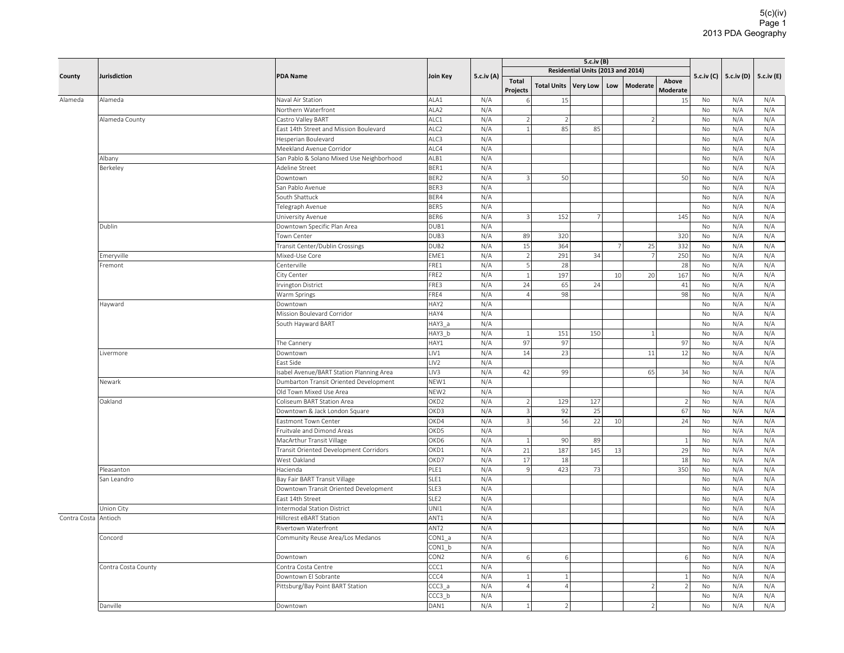| County       | Jurisdiction        |                                           |                  |            | 5.c.iv (B)              |                    |                                   |     |                          |                |           |                           |            |
|--------------|---------------------|-------------------------------------------|------------------|------------|-------------------------|--------------------|-----------------------------------|-----|--------------------------|----------------|-----------|---------------------------|------------|
|              |                     | <b>PDA Name</b>                           | <b>Join Key</b>  | 5.c.iv (A) |                         |                    | Residential Units (2013 and 2014) |     |                          |                |           | 5.c.iv (C) $ $ 5.c.iv (D) | 5.c.iv (E) |
|              |                     |                                           |                  |            | <b>Total</b>            | <b>Total Units</b> | <b>Very Low</b>                   | Low | Moderate                 | Above          |           |                           |            |
|              |                     |                                           |                  |            | Projects                |                    |                                   |     |                          | Moderate       |           |                           |            |
| Alameda      | Alameda             | Naval Air Station                         | ALA1             | N/A        | $6 \mid$                | 15                 |                                   |     |                          | 15             | No        | N/A                       | N/A        |
|              |                     | Northern Waterfront                       | ALA <sub>2</sub> | N/A        |                         |                    |                                   |     |                          |                | <b>No</b> | N/A                       | N/A        |
|              | Alameda County      | Castro Valley BART                        | ALC1             | N/A        | $\mathcal{D}$           | $\mathcal{D}$      |                                   |     | $\overline{\phantom{a}}$ |                | <b>No</b> | N/A                       | N/A        |
|              |                     | East 14th Street and Mission Boulevard    | ALC <sub>2</sub> | N/A        | $\mathbf{1}$            | 85                 | 85                                |     |                          |                | No        | N/A                       | N/A        |
|              |                     | Hesperian Boulevard                       | ALC3             | N/A        |                         |                    |                                   |     |                          |                | No        | N/A                       | N/A        |
|              |                     | Meekland Avenue Corridor                  | ALC4             | N/A        |                         |                    |                                   |     |                          |                | <b>No</b> | N/A                       | N/A        |
|              | Albany              | San Pablo & Solano Mixed Use Neighborhood | ALB1             | N/A        |                         |                    |                                   |     |                          |                | No        | N/A                       | N/A        |
|              | Berkeley            | Adeline Street                            | BER1             | N/A        |                         |                    |                                   |     |                          |                | No        | N/A                       | N/A        |
|              |                     | Downtown                                  | BER <sub>2</sub> | N/A        | $\overline{3}$          | 50                 |                                   |     |                          | 50             | <b>No</b> | N/A                       | N/A        |
|              |                     | San Pablo Avenue                          | BER3             | N/A        |                         |                    |                                   |     |                          |                | <b>No</b> | N/A                       | N/A        |
|              |                     | South Shattuck                            | BER4             | N/A        |                         |                    |                                   |     |                          |                | No        | N/A                       | N/A        |
|              |                     | Telegraph Avenue                          | BER5             | N/A        |                         |                    |                                   |     |                          |                | No        | N/A                       | N/A        |
|              |                     | University Avenue                         | BER6             | N/A        | $\overline{3}$          | 152                | 7                                 |     |                          | 145            | <b>No</b> | N/A                       | N/A        |
|              | Dublin              | Downtown Specific Plan Area               | DUB1             | N/A        |                         |                    |                                   |     |                          |                | No        | N/A                       | N/A        |
|              |                     | Town Center                               | DUB3             | N/A        | 89                      | 320                |                                   |     |                          | 320            | No        | N/A                       | N/A        |
|              |                     | Transit Center/Dublin Crossings           | DUB <sub>2</sub> | N/A        | 15                      | 364                |                                   | 7   | 25                       | 332            | No        | N/A                       | N/A        |
|              | Emeryville          | Mixed-Use Core                            | EME1             | N/A        | 2                       | 291                | 34                                |     | $\overline{7}$           | 250            | <b>No</b> | N/A                       | N/A        |
|              | Fremont             | Centerville                               | FRE1             | N/A        | 5                       | 28                 |                                   |     |                          | 28             | No        | N/A                       | N/A        |
|              |                     | City Center                               | FRE2             | N/A        | $\overline{1}$          | 197                |                                   | 10  | 20                       | 167            | No        | N/A                       | N/A        |
|              |                     | Irvington District                        | FRE3             | N/A        | 24                      | 65                 | 24                                |     |                          | 41             | No        | N/A                       | N/A        |
|              |                     | Warm Springs                              | FRE4             | N/A        | $\Delta$                | 98                 |                                   |     |                          | 98             | No        | N/A                       | N/A        |
|              | Hayward             | Downtown                                  | HAY2             | N/A        |                         |                    |                                   |     |                          |                | No        | N/A                       | N/A        |
|              |                     | Mission Boulevard Corridor                | HAY4             | N/A        |                         |                    |                                   |     |                          |                | No        | N/A                       | N/A        |
|              |                     | South Hayward BART                        | HAY3 a           | N/A        |                         |                    |                                   |     |                          |                | No        | N/A                       | N/A        |
|              |                     |                                           | HAY3 b           | N/A        | $1\vert$                | 151                | 150                               |     | $\overline{1}$           |                | No        | N/A                       | N/A        |
|              |                     | The Cannery                               | HAY1             | N/A        | 97                      | 97                 |                                   |     |                          | 97             | No        | N/A                       | N/A        |
|              | Livermore           | Downtown                                  | LIV1             | N/A        | 14                      | 23                 |                                   |     | 11                       | 12             | No        | N/A                       | N/A        |
|              |                     | East Side                                 | LIV <sub>2</sub> | N/A        |                         |                    |                                   |     |                          |                | No        | N/A                       | N/A        |
|              |                     | Isabel Avenue/BART Station Planning Area  | LIV3             | N/A        | 42                      | 99                 |                                   |     | 65                       | 34             | <b>No</b> | N/A                       | N/A        |
|              | Newark              | Dumbarton Transit Oriented Development    | NEW1             | N/A        |                         |                    |                                   |     |                          |                | <b>No</b> | N/A                       | N/A        |
|              |                     | Old Town Mixed Use Area                   | NEW <sub>2</sub> | N/A        |                         |                    |                                   |     |                          |                | No        | N/A                       | N/A        |
|              | Oakland             | Coliseum BART Station Area                | OKD <sub>2</sub> | N/A        | $\overline{2}$          | 129                | 127                               |     |                          | $\overline{2}$ | No        | N/A                       | N/A        |
|              |                     | Downtown & Jack London Square             | OKD3             | N/A        | $\overline{\mathbf{3}}$ | 92                 | 25                                |     |                          | 67             | No        | N/A                       | N/A        |
|              |                     | Eastmont Town Center                      | OKD4             | N/A        | 3                       | 56                 | 22                                | 10  |                          | 24             | No        | N/A                       | N/A        |
|              |                     | Fruitvale and Dimond Areas                | OKD5             | N/A        |                         |                    |                                   |     |                          |                | No        | N/A                       | N/A        |
|              |                     | MacArthur Transit Village                 | OKD6             | N/A        | $\vert$ 1               | 90                 | 89                                |     |                          | <sup>1</sup>   | No        | N/A                       | N/A        |
|              |                     | Transit Oriented Development Corridors    | OKD1             | N/A        | 21                      | 187                | 145                               | 13  |                          | 29             | No        | N/A                       | N/A        |
|              |                     | West Oakland                              | OKD7             | N/A        | 17                      | 18                 |                                   |     |                          | 18             | No        | N/A                       | N/A        |
|              | Pleasanton          | Hacienda                                  | PLE1             | N/A        | $\overline{9}$          | 423                | 73                                |     |                          | 350            | No        | N/A                       | N/A        |
|              | San Leandro         | Bay Fair BART Transit Village             | SLE1             | N/A        |                         |                    |                                   |     |                          |                | <b>No</b> | N/A                       | N/A        |
|              |                     | Downtown Transit Oriented Development     | SLE3             | N/A        |                         |                    |                                   |     |                          |                | No        | N/A                       | N/A        |
|              |                     | East 14th Street                          | SLE <sub>2</sub> | N/A        |                         |                    |                                   |     |                          |                | No        | N/A                       | N/A        |
|              | Union City          | <b>Intermodal Station District</b>        | UNI1             | N/A        |                         |                    |                                   |     |                          |                | No        | N/A                       | N/A        |
| Contra Costa | Antioch             | Hillcrest eBART Station                   | ANT <sub>1</sub> | N/A        |                         |                    |                                   |     |                          |                | <b>No</b> | N/A                       | N/A        |
|              |                     | Rivertown Waterfront                      | ANT <sub>2</sub> | N/A        |                         |                    |                                   |     |                          |                | No        | N/A                       | N/A        |
|              | Concord             | Community Reuse Area/Los Medanos          | CON1 a           | N/A        |                         |                    |                                   |     |                          |                | No        | N/A                       | N/A        |
|              |                     |                                           | CON1 b           | N/A        |                         |                    |                                   |     |                          |                | No        | N/A                       | N/A        |
|              |                     | Downtown                                  | CON <sub>2</sub> | N/A        | 6                       | 6                  |                                   |     |                          | 6              | No        | N/A                       | N/A        |
|              | Contra Costa County | Contra Costa Centre                       | CCC1             | N/A        |                         |                    |                                   |     |                          |                | No        | N/A                       | N/A        |
|              |                     | Downtown El Sobrante                      | CCC4             | N/A        | $\mathbf{1}$            | $\mathbf{1}$       |                                   |     |                          | $\overline{1}$ | No        | N/A                       | N/A        |
|              |                     | Pittsburg/Bay Point BART Station          | CCC3 a           | N/A        | $\overline{A}$          | $\left 4\right $   |                                   |     | $\overline{a}$           | $\overline{2}$ | No        | N/A                       | N/A        |
|              |                     |                                           | CCC3 b           | N/A        |                         |                    |                                   |     |                          |                | <b>No</b> | N/A                       | N/A        |
|              | Danville            | Downtown                                  | DAN1             | N/A        | $\mathbf{1}$            | $\overline{2}$     |                                   |     | $\overline{2}$           |                | No        | N/A                       | N/A        |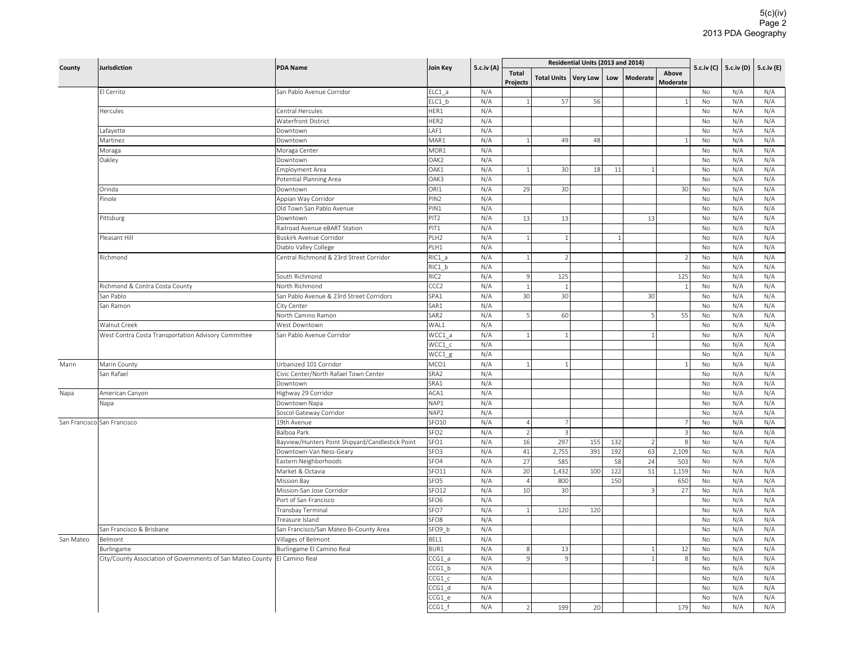|           | <b>Jurisdiction</b>                                        | <b>PDA Name</b>                                                             | <b>Join Key</b>   |            |                                  |                    | Residential Units (2013 and 2014) |              |                      |                          | 5.c.iv (C) |            |                         |
|-----------|------------------------------------------------------------|-----------------------------------------------------------------------------|-------------------|------------|----------------------------------|--------------------|-----------------------------------|--------------|----------------------|--------------------------|------------|------------|-------------------------|
| County    |                                                            |                                                                             |                   | 5.c.iv (A) | <b>Total</b><br>Projects         | <b>Total Units</b> | <b>Very Low</b>                   | Low          | <b>Moderate</b>      | Above<br><b>Moderate</b> |            |            | 5.c.iv (D)   5.c.iv (E) |
|           | El Cerrito                                                 | San Pablo Avenue Corridor                                                   | ELC1 a            | N/A        |                                  |                    |                                   |              |                      |                          | No         | N/A        | N/A                     |
|           |                                                            |                                                                             | ELC1 b            | N/A        |                                  | 57                 | 56                                |              |                      | $\overline{1}$           | No         | N/A        | N/A                     |
|           | Hercules                                                   | Central Hercules                                                            | HER1              | N/A        |                                  |                    |                                   |              |                      |                          | No         | N/A        | N/A                     |
|           |                                                            | <b>Waterfront District</b>                                                  | HER2              | N/A        |                                  |                    |                                   |              |                      |                          | No         | N/A        | N/A                     |
|           | Lafayette                                                  | Downtown                                                                    | LAF1              | N/A        |                                  |                    |                                   |              |                      |                          | No         | N/A        | N/A                     |
|           | Martinez                                                   | Downtown                                                                    | MAR1              | N/A        | $\mathbf{1}$                     | 49                 | 48                                |              |                      | $\mathbf{1}$             | No         | N/A        | N/A                     |
|           | Moraga                                                     | Moraga Center                                                               | MOR1              | N/A        |                                  |                    |                                   |              |                      |                          | <b>No</b>  | N/A        | N/A                     |
|           | Oakley                                                     | Downtown                                                                    | OAK2              | N/A        |                                  |                    |                                   |              |                      |                          | No         | N/A        | N/A                     |
|           |                                                            | Employment Area                                                             | OAK1              | N/A        |                                  | 30                 | 18                                | $11\,$       | $\overline{1}$       |                          | No         | N/A        | N/A                     |
|           |                                                            | Potential Planning Area                                                     | OAK3              | N/A        |                                  |                    |                                   |              |                      |                          | No         | N/A        | N/A                     |
|           | Orinda                                                     | Downtown                                                                    | ORI1              | N/A        | 29                               | 30                 |                                   |              |                      | 30                       | No         | N/A        | N/A                     |
|           | Pinole                                                     | Appian Way Corridor                                                         | PIN <sub>2</sub>  | N/A        |                                  |                    |                                   |              |                      |                          | No         | N/A        | N/A                     |
|           |                                                            | Old Town San Pablo Avenue                                                   | PIN1              | N/A        |                                  |                    |                                   |              |                      |                          | No         | N/A        | N/A                     |
|           | Pittsburg                                                  | Downtown                                                                    | PIT <sub>2</sub>  | N/A        | 13                               | 13                 |                                   |              | 13                   |                          | No         | N/A        | N/A                     |
|           |                                                            | Railroad Avenue eBART Station                                               | PIT <sub>1</sub>  | N/A        |                                  |                    |                                   |              |                      |                          | No         | N/A        | N/A                     |
|           | Pleasant Hill                                              | Buskirk Avenue Corridor                                                     | PLH <sub>2</sub>  | N/A        | $\mathbf{1}$                     | $\overline{1}$     |                                   | $\mathbf{1}$ |                      |                          | No         | N/A        | N/A                     |
|           |                                                            | Diablo Valley College                                                       | PLH1              | N/A        |                                  |                    |                                   |              |                      |                          | No         | N/A        | N/A                     |
|           | Richmond                                                   | Central Richmond & 23rd Street Corridor                                     | $RIC1_a$          | N/A        | $1\,$                            | $\overline{2}$     |                                   |              |                      | $\overline{\phantom{a}}$ | No         | N/A        | N/A                     |
|           |                                                            |                                                                             | RIC1 b            | N/A        |                                  |                    |                                   |              |                      |                          | No         | N/A        | N/A                     |
|           |                                                            | South Richmond                                                              | RIC <sub>2</sub>  | N/A        | $\overline{9}$                   | 125                |                                   |              |                      | 125                      | No         | N/A        | N/A                     |
|           | Richmond & Contra Costa County                             | North Richmond                                                              | CCC <sub>2</sub>  | N/A        | $\mathbf{1}$                     | 1                  |                                   |              |                      | 1                        | No         | N/A        | N/A                     |
|           | San Pablo                                                  | San Pablo Avenue & 23rd Street Corridors                                    | SPA1              | N/A        | 30                               | 30                 |                                   |              | 30                   |                          | No         | N/A        | N/A                     |
|           | San Ramon                                                  | City Center                                                                 | SAR1              | N/A        |                                  |                    |                                   |              |                      |                          | No         | N/A        | N/A                     |
|           |                                                            | North Camino Ramon                                                          | SAR <sub>2</sub>  | N/A        | 5                                | 60                 |                                   |              | 5                    | 55                       | No         | N/A        | N/A                     |
|           | Walnut Creek                                               | West Downtown                                                               | WAL1              | N/A        |                                  |                    |                                   |              |                      |                          | No         | N/A        | N/A                     |
|           | West Contra Costa Transportation Advisory Committee        | San Pablo Avenue Corridor                                                   | WCC1 a            | N/A        | 1                                | $\overline{1}$     |                                   |              | $\overline{1}$       |                          | No         | N/A        | N/A                     |
|           |                                                            |                                                                             | WCC1_c            | N/A        |                                  |                    |                                   |              |                      |                          | No         | N/A        | N/A                     |
|           |                                                            |                                                                             | WCC1_g            | N/A        |                                  |                    |                                   |              |                      |                          | No         | N/A        | N/A                     |
| Marin     | Marin County                                               | Urbanized 101 Corridor                                                      | MCO1              | N/A        | 1                                | $\overline{1}$     |                                   |              |                      | $\mathbf{1}$             | No         | N/A        | N/A                     |
|           | San Rafael                                                 | Civic Center/North Rafael Town Center                                       | SRA2              | N/A        |                                  |                    |                                   |              |                      |                          | No         | N/A        | N/A                     |
|           |                                                            | Downtown                                                                    | SRA1              | N/A        |                                  |                    |                                   |              |                      |                          | No         | N/A        | N/A                     |
| Napa      | American Canyon                                            | Highway 29 Corridor                                                         | ACA1<br>NAP1      | N/A        |                                  |                    |                                   |              |                      |                          | No         | N/A        | N/A                     |
|           | Napa                                                       | Downtown Napa                                                               | NAP <sub>2</sub>  | N/A<br>N/A |                                  |                    |                                   |              |                      |                          | No         | N/A        | N/A<br>N/A              |
|           |                                                            | Soscol Gateway Corridor                                                     | SFO <sub>10</sub> |            |                                  | 7                  |                                   |              |                      | $\overline{7}$           | No         | N/A        | N/A                     |
|           | San Francisco San Francisco                                | 19th Avenue<br>Balboa Park                                                  | SFO <sub>2</sub>  | N/A        | $\overline{4}$<br>$\overline{2}$ | $\overline{3}$     |                                   |              |                      | $\overline{3}$           | No<br>No   | N/A        | N/A                     |
|           |                                                            |                                                                             | SFO1              | N/A<br>N/A |                                  |                    |                                   |              |                      |                          |            | N/A<br>N/A | N/A                     |
|           |                                                            | Bayview/Hunters Point Shipyard/Candlestick Point<br>Downtown-Van Ness-Geary | SFO <sub>3</sub>  | N/A        | 16<br>41                         | 297<br>2,755       | 155<br>391                        | 132<br>192   | $\overline{2}$<br>63 | 8<br>2,109               | No<br>No   | N/A        | N/A                     |
|           |                                                            |                                                                             | SFO4              | N/A        | 27                               | 585                |                                   | 58           | 24                   | 503                      | No         | N/A        | N/A                     |
|           |                                                            | Eastern Neighborhoods<br>Market & Octavia                                   | SFO11             | N/A        | 20                               | 1,432              | 100                               | 122          | 51                   | 1,159                    | No         | N/A        | N/A                     |
|           |                                                            |                                                                             | SFO <sub>5</sub>  | N/A        | $\overline{4}$                   | 800                |                                   | 150          |                      | 650                      | No         | N/A        | N/A                     |
|           |                                                            | <b>Mission Bay</b><br>Mission-San Jose Corridor                             | SFO12             | N/A        | 10                               | 30                 |                                   |              | $\overline{3}$       | 27                       | No         | N/A        | N/A                     |
|           |                                                            | Port of San Francisco                                                       | SFO <sub>6</sub>  | N/A        |                                  |                    |                                   |              |                      |                          | No         | N/A        | N/A                     |
|           |                                                            | Transbay Terminal                                                           | SFO7              | N/A        | $\mathbf{1}$                     | 120                | 120                               |              |                      |                          | No         | N/A        | N/A                     |
|           |                                                            | Treasure Island                                                             | SFO <sub>8</sub>  | N/A        |                                  |                    |                                   |              |                      |                          | No         | N/A        | N/A                     |
|           | San Francisco & Brisbane                                   | San Francisco/San Mateo Bi-County Area                                      | SFO9 b            | N/A        |                                  |                    |                                   |              |                      |                          | No         | N/A        | N/A                     |
| San Mateo | Belmont                                                    | Villages of Belmont                                                         | BEL1              | N/A        |                                  |                    |                                   |              |                      |                          | No         | N/A        | N/A                     |
|           | Burlingame                                                 | Burlingame El Camino Real                                                   | BUR1              | N/A        | 8                                | 13                 |                                   |              | $\mathbf{1}$         | 12                       | No         | N/A        | N/A                     |
|           | City/County Association of Governments of San Mateo County | El Camino Real                                                              | CCG1 a            | N/A        | $\mathsf{Q}$                     | $\vert$ 9          |                                   |              | $\overline{1}$       | 8                        | <b>No</b>  | N/A        | N/A                     |
|           |                                                            |                                                                             | CCG1 b            | N/A        |                                  |                    |                                   |              |                      |                          | No         | N/A        | N/A                     |
|           |                                                            |                                                                             | CCG1 c            | N/A        |                                  |                    |                                   |              |                      |                          | No         | N/A        | N/A                     |
|           |                                                            |                                                                             | CCG1 d            | N/A        |                                  |                    |                                   |              |                      |                          | No         | N/A        | N/A                     |
|           |                                                            |                                                                             | CCG1 e            | N/A        |                                  |                    |                                   |              |                      |                          | No         | N/A        | N/A                     |
|           |                                                            |                                                                             | $CCG1_f$          | N/A        | $\mathfrak{D}$                   | 199                | 20                                |              |                      | 179                      | No         | N/A        | N/A                     |
|           |                                                            |                                                                             |                   |            |                                  |                    |                                   |              |                      |                          |            |            |                         |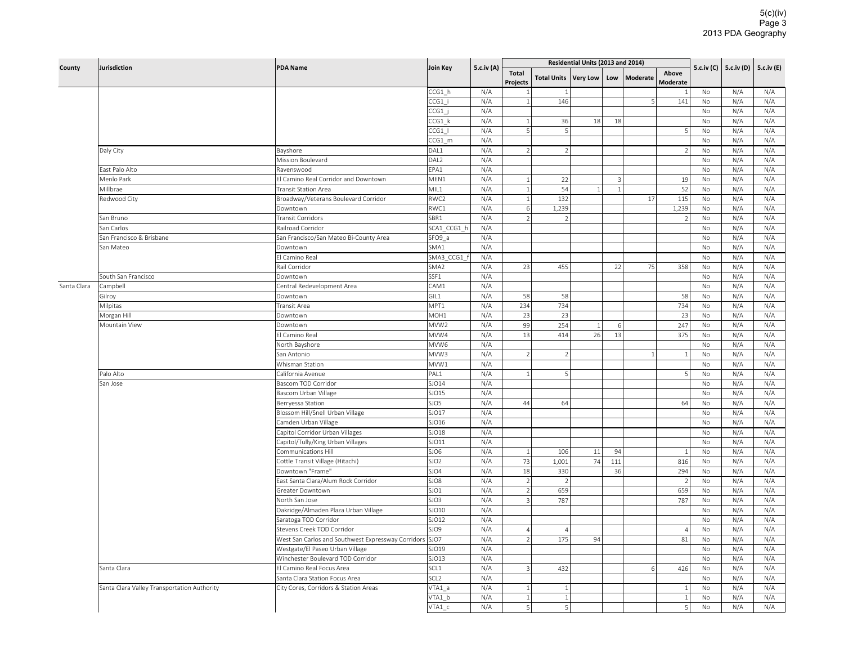|             |                                             |                                                    | Join Key         |            |                          |                    | Residential Units (2013 and 2014) |                |          |                   |               |     |                         |
|-------------|---------------------------------------------|----------------------------------------------------|------------------|------------|--------------------------|--------------------|-----------------------------------|----------------|----------|-------------------|---------------|-----|-------------------------|
| County      | <b>Jurisdiction</b>                         | <b>PDA Name</b>                                    |                  | 5.c.iv (A) | <b>Total</b><br>Projects | <b>Total Units</b> | <b>Very Low</b>                   | Low            | Moderate | Above<br>Moderate | 5.c.iv (C)    |     | 5.c.iv (D)   5.c.iv (E) |
|             |                                             |                                                    | CCG1 h           | N/A        | $\overline{1}$           |                    |                                   |                |          | $\mathbf{1}$      | No            | N/A | N/A                     |
|             |                                             |                                                    | CCG1 i           | N/A        | $\mathbf{1}$             | 146                |                                   |                | 5        | 141               | No            | N/A | N/A                     |
|             |                                             |                                                    | CCG1             | N/A        |                          |                    |                                   |                |          |                   | No            | N/A | N/A                     |
|             |                                             |                                                    | CCG1 k           | N/A        | $1\vert$                 | 36                 | 18                                | 18             |          |                   | No            | N/A | N/A                     |
|             |                                             |                                                    | $CCG1$           | N/A        | $\mathsf{S}$             | 5                  |                                   |                |          | 5 <sup>1</sup>    | No            | N/A | N/A                     |
|             |                                             |                                                    | CCG1 m           | N/A        |                          |                    |                                   |                |          |                   | <b>No</b>     | N/A | N/A                     |
|             | Daly City                                   | Bayshore                                           | DAL1             | N/A        | $\overline{2}$           | $\overline{2}$     |                                   |                |          | 2                 | No            | N/A | N/A                     |
|             |                                             | Mission Boulevard                                  | DAL <sub>2</sub> | N/A        |                          |                    |                                   |                |          |                   | No            | N/A | N/A                     |
|             | East Palo Alto                              | Ravenswood                                         | EPA1             | N/A        |                          |                    |                                   |                |          |                   | No            | N/A | N/A                     |
|             | Menlo Park                                  | El Camino Real Corridor and Downtown               | MEN1             | N/A        | $\mathbf{1}$             | 22                 |                                   | 3              |          | 19                | No            | N/A | N/A                     |
|             | Millbrae                                    | <b>Transit Station Area</b>                        | MIL1             | N/A        | 1                        | 54                 | $\mathbf{1}$                      | $\overline{1}$ |          | 52                | No            | N/A | N/A                     |
|             | Redwood City                                | Broadway/Veterans Boulevard Corridor               | RWC2             | N/A        | 1                        | 132                |                                   |                | 17       | 115               | No            | N/A | N/A                     |
|             |                                             | Downtown                                           | RWC1             | N/A        | 6                        | 1,239              |                                   |                |          | 1,239             | No            | N/A | N/A                     |
|             | San Bruno                                   | Transit Corridors                                  | SBR1             | N/A        | $\overline{2}$           | $\mathcal{P}$      |                                   |                |          | $\overline{2}$    | No            | N/A | N/A                     |
|             | San Carlos                                  | Railroad Corridor                                  | SCA1 CCG1 h      | N/A        |                          |                    |                                   |                |          |                   | No            | N/A | N/A                     |
|             | San Francisco & Brisbane                    | San Francisco/San Mateo Bi-County Area             | SFO9_a           | N/A        |                          |                    |                                   |                |          |                   | No            | N/A | N/A                     |
|             | San Mateo                                   | Downtown                                           | SMA1             | N/A        |                          |                    |                                   |                |          |                   | No            | N/A | N/A                     |
|             |                                             | El Camino Real                                     | SMA3 CCG1        | N/A        |                          |                    |                                   |                |          |                   | No            | N/A | N/A                     |
|             |                                             | Rail Corridor                                      | SMA <sub>2</sub> | N/A        | 23                       | 455                |                                   | 22             | 75       | 358               | No            | N/A | N/A                     |
|             | South San Francisco                         | Downtown                                           | SSF1             | N/A        |                          |                    |                                   |                |          |                   | No            | N/A | N/A                     |
| Santa Clara | Campbell                                    | Central Redevelopment Area                         | CAM1             | N/A        |                          |                    |                                   |                |          |                   | No            | N/A | N/A                     |
|             | Gilroy                                      | Downtown                                           | GIL1             | N/A        | 58                       | 58                 |                                   |                |          | 58                | No            | N/A | N/A                     |
|             | Milpitas                                    | Transit Area                                       | MPT1             | N/A        | 234                      | 734                |                                   |                |          | 734               | <b>No</b>     | N/A | N/A                     |
|             | Morgan Hill                                 | Downtown                                           | MOH1             | N/A        | 23                       | 23                 |                                   |                |          | 23                | No            | N/A | N/A                     |
|             | Mountain View                               | Downtown                                           | MVW <sub>2</sub> | N/A        | 99                       | 254                | $\mathbf{1}$                      | 6              |          | 247               | $\mathsf{No}$ | N/A | N/A                     |
|             |                                             | El Camino Real                                     | MVW4             | N/A        | 13                       | 414                | 26                                | 13             |          | 375               | No            | N/A | N/A                     |
|             |                                             | North Bayshore                                     | MVW6             | N/A        |                          |                    |                                   |                |          |                   | No            | N/A | N/A                     |
|             |                                             | San Antonio                                        | MVW3             | N/A        | $\overline{2}$           | $\overline{2}$     |                                   |                |          | $\vert$ 1         | No            | N/A | N/A                     |
|             |                                             | Whisman Station                                    | MVW1             | N/A        |                          |                    |                                   |                |          |                   | No            | N/A | N/A                     |
|             | Palo Alto                                   | California Avenue                                  | PAL1             | N/A        | 1                        | 5                  |                                   |                |          | 5                 | No            | N/A | N/A                     |
|             | San Jose                                    | Bascom TOD Corridor                                | SJO14            | N/A        |                          |                    |                                   |                |          |                   | No            | N/A | N/A                     |
|             |                                             | Bascom Urban Village                               | SJO15            | N/A        |                          |                    |                                   |                |          |                   | <b>No</b>     | N/A | N/A                     |
|             |                                             | Berryessa Station                                  | SJO5             | N/A        | 44                       | 64                 |                                   |                |          | 64                | No            | N/A | N/A                     |
|             |                                             | Blossom Hill/Snell Urban Village                   | SJO17            | N/A        |                          |                    |                                   |                |          |                   | No            | N/A | N/A                     |
|             |                                             | Camden Urban Village                               | SJO16            | N/A        |                          |                    |                                   |                |          |                   | No            | N/A | N/A                     |
|             |                                             | Capitol Corridor Urban Villages                    | SJO18            | N/A        |                          |                    |                                   |                |          |                   | No            | N/A | N/A                     |
|             |                                             | Capitol/Tully/King Urban Villages                  | SJO11            | N/A        |                          |                    |                                   |                |          |                   | No            | N/A | N/A                     |
|             |                                             | Communications Hill                                | SJO6             | N/A        | $1\,$                    | 106                | 11                                | 94             |          | 1                 | No            | N/A | N/A                     |
|             |                                             | Cottle Transit Village (Hitachi)                   | SJO <sub>2</sub> | N/A        | $73$                     | 1,001              | 74                                | 111            |          | 816               | No            | N/A | N/A                     |
|             |                                             | Downtown "Frame"                                   | SJO4             | N/A        | 18                       | 330                |                                   | 36             |          | 294               | No            | N/A | N/A                     |
|             |                                             | East Santa Clara/Alum Rock Corridor                | SJO8             | N/A        | $\overline{2}$           | $\mathcal{P}$      |                                   |                |          | 2                 | <b>No</b>     | N/A | N/A                     |
|             |                                             | Greater Downtown                                   | SJO1             | N/A        | $\overline{2}$           | 659                |                                   |                |          | 659               | No            | N/A | N/A                     |
|             |                                             | North San Jose                                     | SJO3             | N/A        | $\overline{3}$           | 787                |                                   |                |          | 787               | No            | N/A | N/A                     |
|             |                                             | Oakridge/Almaden Plaza Urban Village               | SJO10            | N/A        |                          |                    |                                   |                |          |                   | No            | N/A | N/A                     |
|             |                                             | Saratoga TOD Corridor                              | SJO12            | N/A        |                          |                    |                                   |                |          |                   | No            | N/A | N/A                     |
|             |                                             | Stevens Creek TOD Corridor                         | SJO9             | N/A        | 4 <sup>1</sup>           | $\overline{A}$     |                                   |                |          | $\overline{4}$    | <b>No</b>     | N/A | N/A                     |
|             |                                             | West San Carlos and Southwest Expressway Corridors | SJO7             | N/A        | $\overline{2}$           | 175                | 94                                |                |          | 81                | No            | N/A | N/A                     |
|             |                                             | Westgate/El Paseo Urban Village                    | SJO19            | N/A        |                          |                    |                                   |                |          |                   | No            | N/A | N/A                     |
|             |                                             | Winchester Boulevard TOD Corridor                  | SJO13            | N/A        |                          |                    |                                   |                |          |                   | No            | N/A | N/A                     |
|             | Santa Clara                                 | El Camino Real Focus Area                          | SCL1             | N/A        | $\overline{3}$           | 432                |                                   |                | 6        | 426               | No            | N/A | N/A                     |
|             |                                             | Santa Clara Station Focus Area                     | SCL <sub>2</sub> | N/A        |                          |                    |                                   |                |          |                   | No            | N/A | N/A                     |
|             | Santa Clara Valley Transportation Authority | City Cores, Corridors & Station Areas              | $VTA1_a$         | N/A        | $\mathbf{1}$             |                    |                                   |                |          | $\mathbf{1}$      | No            | N/A | N/A                     |
|             |                                             |                                                    | VTA1 b           | N/A        | $1\vert$                 | $\overline{1}$     |                                   |                |          | 1                 | No            | N/A | N/A                     |
|             |                                             |                                                    | VTA1 c           | N/A        | 5                        | 5                  |                                   |                |          | $\mathsf{S}$      | No            | N/A | N/A                     |